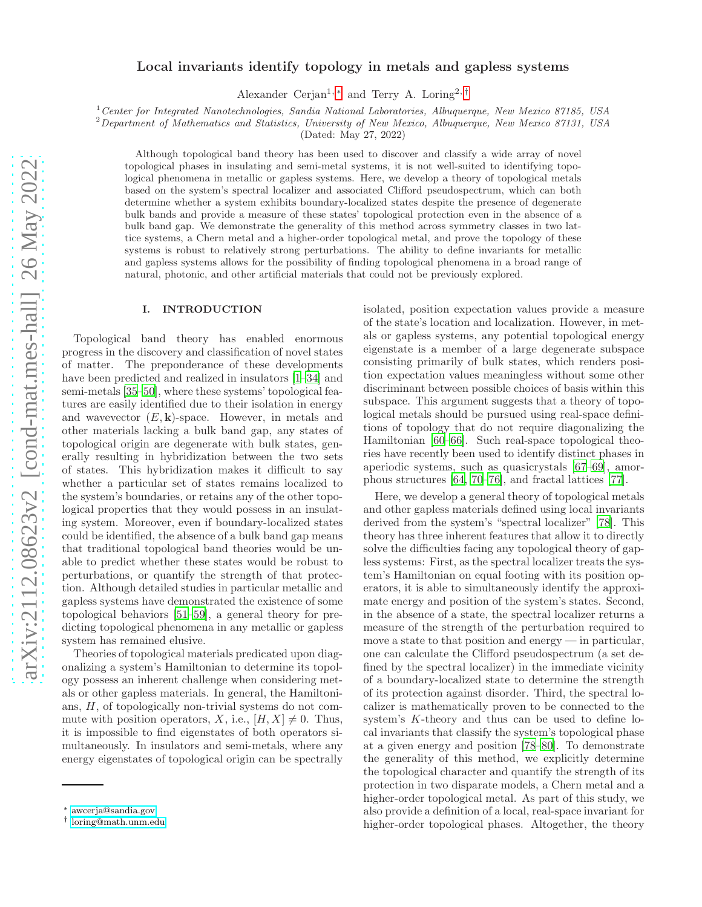# Local invariants identify topology in metals and gapless systems

Alexander Cerjan<sup>1, \*</sup> and Terry A. Loring<sup>2,[†](#page-0-1)</sup>

<sup>1</sup> Center for Integrated Nanotechnologies, Sandia National Laboratories, Albuquerque, New Mexico 87185, USA

<sup>2</sup>Department of Mathematics and Statistics, University of New Mexico, Albuquerque, New Mexico 87131, USA

(Dated: May 27, 2022)

Although topological band theory has been used to discover and classify a wide array of novel topological phases in insulating and semi-metal systems, it is not well-suited to identifying topological phenomena in metallic or gapless systems. Here, we develop a theory of topological metals based on the system's spectral localizer and associated Clifford pseudospectrum, which can both determine whether a system exhibits boundary-localized states despite the presence of degenerate bulk bands and provide a measure of these states' topological protection even in the absence of a bulk band gap. We demonstrate the generality of this method across symmetry classes in two lattice systems, a Chern metal and a higher-order topological metal, and prove the topology of these systems is robust to relatively strong perturbations. The ability to define invariants for metallic and gapless systems allows for the possibility of finding topological phenomena in a broad range of natural, photonic, and other artificial materials that could not be previously explored.

## I. INTRODUCTION

Topological band theory has enabled enormous progress in the discovery and classification of novel states of matter. The preponderance of these developments have been predicted and realized in insulators  $[1-34]$  and semi-metals [\[35](#page-8-1)[–50\]](#page-8-2), where these systems' topological features are easily identified due to their isolation in energy and wavevector  $(E, \mathbf{k})$ -space. However, in metals and other materials lacking a bulk band gap, any states of topological origin are degenerate with bulk states, generally resulting in hybridization between the two sets of states. This hybridization makes it difficult to say whether a particular set of states remains localized to the system's boundaries, or retains any of the other topological properties that they would possess in an insulating system. Moreover, even if boundary-localized states could be identified, the absence of a bulk band gap means that traditional topological band theories would be unable to predict whether these states would be robust to perturbations, or quantify the strength of that protection. Although detailed studies in particular metallic and gapless systems have demonstrated the existence of some topological behaviors [\[51](#page-8-3)[–59\]](#page-8-4), a general theory for predicting topological phenomena in any metallic or gapless system has remained elusive.

Theories of topological materials predicated upon diagonalizing a system's Hamiltonian to determine its topology possess an inherent challenge when considering metals or other gapless materials. In general, the Hamiltonians, H, of topologically non-trivial systems do not commute with position operators, X, i.e.,  $[H, X] \neq 0$ . Thus, it is impossible to find eigenstates of both operators simultaneously. In insulators and semi-metals, where any energy eigenstates of topological origin can be spectrally

isolated, position expectation values provide a measure of the state's location and localization. However, in metals or gapless systems, any potential topological energy eigenstate is a member of a large degenerate subspace consisting primarily of bulk states, which renders position expectation values meaningless without some other discriminant between possible choices of basis within this subspace. This argument suggests that a theory of topological metals should be pursued using real-space definitions of topology that do not require diagonalizing the Hamiltonian [\[60](#page-8-5)[–66\]](#page-9-0). Such real-space topological theories have recently been used to identify distinct phases in aperiodic systems, such as quasicrystals [\[67](#page-9-1)[–69\]](#page-9-2), amorphous structures [\[64](#page-9-3), [70](#page-9-4)[–76](#page-9-5)], and fractal lattices [\[77\]](#page-9-6).

Here, we develop a general theory of topological metals and other gapless materials defined using local invariants derived from the system's "spectral localizer" [\[78](#page-9-7)]. This theory has three inherent features that allow it to directly solve the difficulties facing any topological theory of gapless systems: First, as the spectral localizer treats the system's Hamiltonian on equal footing with its position operators, it is able to simultaneously identify the approximate energy and position of the system's states. Second, in the absence of a state, the spectral localizer returns a measure of the strength of the perturbation required to move a state to that position and energy — in particular, one can calculate the Clifford pseudospectrum (a set defined by the spectral localizer) in the immediate vicinity of a boundary-localized state to determine the strength of its protection against disorder. Third, the spectral localizer is mathematically proven to be connected to the system's K-theory and thus can be used to define local invariants that classify the system's topological phase at a given energy and position [\[78](#page-9-7)[–80\]](#page-9-8). To demonstrate the generality of this method, we explicitly determine the topological character and quantify the strength of its protection in two disparate models, a Chern metal and a higher-order topological metal. As part of this study, we also provide a definition of a local, real-space invariant for higher-order topological phases. Altogether, the theory

<span id="page-0-0"></span><sup>∗</sup> [awcerja@sandia.gov](mailto:awcerja@sandia.gov)

<span id="page-0-1"></span><sup>†</sup> [loring@math.unm.edu](mailto:loring@math.unm.edu)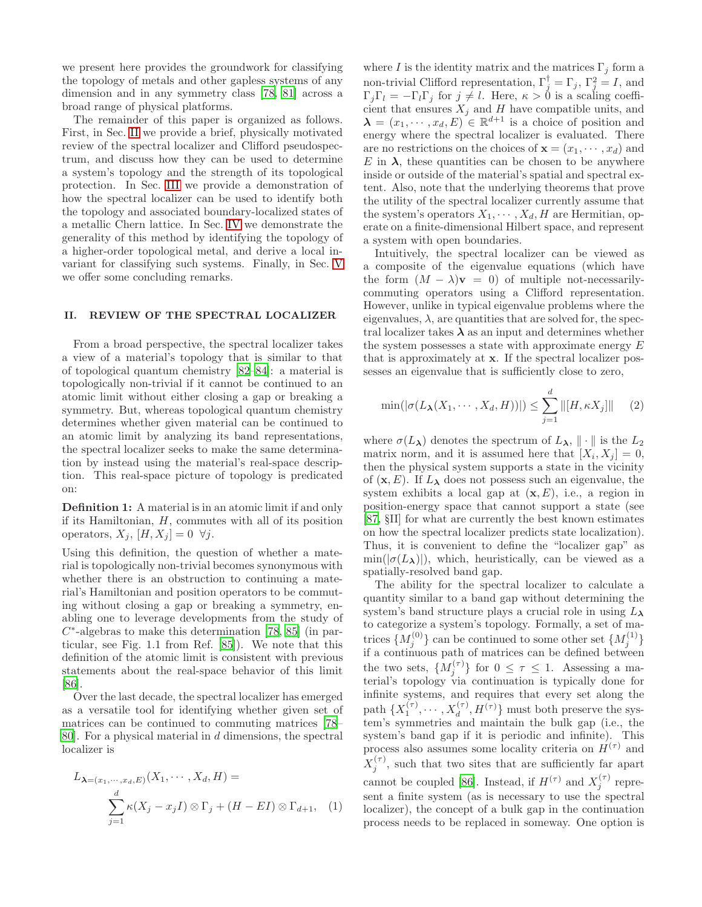we present here provides the groundwork for classifying the topology of metals and other gapless systems of any dimension and in any symmetry class [\[78,](#page-9-7) [81\]](#page-9-9) across a broad range of physical platforms.

The remainder of this paper is organized as follows. First, in Sec. [II](#page-1-0) we provide a brief, physically motivated review of the spectral localizer and Clifford pseudospectrum, and discuss how they can be used to determine a system's topology and the strength of its topological protection. In Sec. [III](#page-3-0) we provide a demonstration of how the spectral localizer can be used to identify both the topology and associated boundary-localized states of a metallic Chern lattice. In Sec. [IV](#page-5-0) we demonstrate the generality of this method by identifying the topology of a higher-order topological metal, and derive a local invariant for classifying such systems. Finally, in Sec. [V](#page-6-0) we offer some concluding remarks.

## <span id="page-1-0"></span>II. REVIEW OF THE SPECTRAL LOCALIZER

From a broad perspective, the spectral localizer takes a view of a material's topology that is similar to that of topological quantum chemistry [\[82](#page-9-10)[–84](#page-9-11)]: a material is topologically non-trivial if it cannot be continued to an atomic limit without either closing a gap or breaking a symmetry. But, whereas topological quantum chemistry determines whether given material can be continued to an atomic limit by analyzing its band representations, the spectral localizer seeks to make the same determination by instead using the material's real-space description. This real-space picture of topology is predicated on:

Definition 1: A material is in an atomic limit if and only if its Hamiltonian,  $H$ , commutes with all of its position operators,  $X_j$ ,  $[H, X_j] = 0 \ \forall j$ .

Using this definition, the question of whether a material is topologically non-trivial becomes synonymous with whether there is an obstruction to continuing a material's Hamiltonian and position operators to be commuting without closing a gap or breaking a symmetry, enabling one to leverage developments from the study of  $C^*$ -algebras to make this determination [\[78,](#page-9-7) [85\]](#page-9-12) (in particular, see Fig. 1.1 from Ref. [\[85](#page-9-12)]). We note that this definition of the atomic limit is consistent with previous statements about the real-space behavior of this limit [\[86\]](#page-9-13).

Over the last decade, the spectral localizer has emerged as a versatile tool for identifying whether given set of matrices can be continued to commuting matrices [\[78](#page-9-7)– [80\]](#page-9-8). For a physical material in d dimensions, the spectral localizer is

$$
L_{\lambda=(x_1,\dots,x_d,E)}(X_1,\dots,X_d,H) =
$$
  

$$
\sum_{j=1}^d \kappa(X_j - x_j I) \otimes \Gamma_j + (H - EI) \otimes \Gamma_{d+1}, \quad (1)
$$

where I is the identity matrix and the matrices  $\Gamma_j$  form a non-trivial Clifford representation,  $\Gamma_j^{\dagger} = \Gamma_j$ ,  $\Gamma_j^2 = I$ , and  $\Gamma_j \Gamma_l = -\Gamma_l \Gamma_j$  for  $j \neq l$ . Here,  $\kappa > 0$  is a scaling coefficient that ensures  $X_j$  and H have compatible units, and  $\boldsymbol{\lambda} = (x_1, \dots, x_d, E) \in \mathbb{R}^{d+1}$  is a choice of position and energy where the spectral localizer is evaluated. There are no restrictions on the choices of  $\mathbf{x} = (x_1, \dots, x_d)$  and E in  $\lambda$ , these quantities can be chosen to be anywhere inside or outside of the material's spatial and spectral extent. Also, note that the underlying theorems that prove the utility of the spectral localizer currently assume that the system's operators  $X_1, \cdots, X_d, H$  are Hermitian, operate on a finite-dimensional Hilbert space, and represent a system with open boundaries.

Intuitively, the spectral localizer can be viewed as a composite of the eigenvalue equations (which have the form  $(M - \lambda)\mathbf{v} = 0$  of multiple not-necessarilycommuting operators using a Clifford representation. However, unlike in typical eigenvalue problems where the eigenvalues,  $\lambda$ , are quantities that are solved for, the spectral localizer takes  $\lambda$  as an input and determines whether the system possesses a state with approximate energy  $E$ that is approximately at x. If the spectral localizer possesses an eigenvalue that is sufficiently close to zero,

$$
\min(|\sigma(L_{\lambda}(X_1,\cdots,X_d,H))|) \leq \sum_{j=1}^d \|[H,\kappa X_j]\| \qquad (2)
$$

where  $\sigma(L_{\lambda})$  denotes the spectrum of  $L_{\lambda}$ ,  $\|\cdot\|$  is the  $L_2$ matrix norm, and it is assumed here that  $[X_i, X_j] = 0$ , then the physical system supports a state in the vicinity of  $(\mathbf{x}, E)$ . If  $L_{\lambda}$  does not possess such an eigenvalue, the system exhibits a local gap at  $(x, E)$ , i.e., a region in position-energy space that cannot support a state (see [\[87,](#page-9-14) §II] for what are currently the best known estimates on how the spectral localizer predicts state localization). Thus, it is convenient to define the "localizer gap" as  $\min(|\sigma(L_{\lambda})|)$ , which, heuristically, can be viewed as a spatially-resolved band gap.

The ability for the spectral localizer to calculate a quantity similar to a band gap without determining the system's band structure plays a crucial role in using  $L_{\lambda}$ to categorize a system's topology. Formally, a set of matrices  $\{M_j^{(0)}\}$  can be continued to some other set  $\{M_j^{(1)}\}$ if a continuous path of matrices can be defined between the two sets,  $\{M_j^{(\tau)}\}\$ for  $0 \leq \tau \leq 1$ . Assessing a material's topology via continuation is typically done for infinite systems, and requires that every set along the path  $\{X_1^{(\tau)}, \cdots, X_d^{(\tau)}, H^{(\tau)}\}$  must both preserve the system's symmetries and maintain the bulk gap (i.e., the system's band gap if it is periodic and infinite). This process also assumes some locality criteria on  $H^{(\tau)}$  and  $X_j^{(\tau)}$ , such that two sites that are sufficiently far apart cannot be coupled [\[86\]](#page-9-13). Instead, if  $H^{(\tau)}$  and  $X_j^{(\tau)}$  represent a finite system (as is necessary to use the spectral localizer), the concept of a bulk gap in the continuation process needs to be replaced in someway. One option is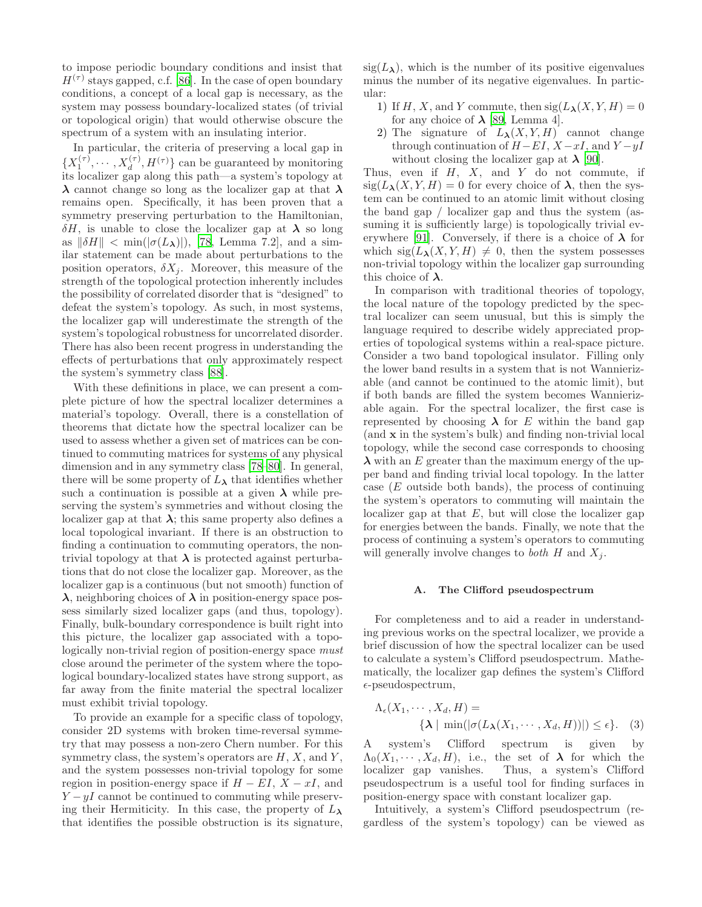to impose periodic boundary conditions and insist that  $H^{(\tau)}$  stays gapped, c.f. [\[86\]](#page-9-13). In the case of open boundary conditions, a concept of a local gap is necessary, as the system may possess boundary-localized states (of trivial or topological origin) that would otherwise obscure the spectrum of a system with an insulating interior.

In particular, the criteria of preserving a local gap in  $\{X_1^{(\tau)}, \cdots, X_d^{(\tau)}, H^{(\tau)}\}$  can be guaranteed by monitoring its localizer gap along this path—a system's topology at  $\lambda$  cannot change so long as the localizer gap at that  $\lambda$ remains open. Specifically, it has been proven that a symmetry preserving perturbation to the Hamiltonian,  $\delta H$ , is unable to close the localizer gap at  $\lambda$  so long as  $\|\delta H\| < \min(|\sigma(L_\lambda)|)$ , [\[78](#page-9-7), Lemma 7.2], and a similar statement can be made about perturbations to the position operators,  $\delta X_i$ . Moreover, this measure of the strength of the topological protection inherently includes the possibility of correlated disorder that is "designed" to defeat the system's topology. As such, in most systems, the localizer gap will underestimate the strength of the system's topological robustness for uncorrelated disorder. There has also been recent progress in understanding the effects of perturbations that only approximately respect the system's symmetry class [\[88\]](#page-9-15).

With these definitions in place, we can present a complete picture of how the spectral localizer determines a material's topology. Overall, there is a constellation of theorems that dictate how the spectral localizer can be used to assess whether a given set of matrices can be continued to commuting matrices for systems of any physical dimension and in any symmetry class [\[78](#page-9-7)[–80\]](#page-9-8). In general, there will be some property of  $L_{\lambda}$  that identifies whether such a continuation is possible at a given  $\lambda$  while preserving the system's symmetries and without closing the localizer gap at that  $\lambda$ ; this same property also defines a local topological invariant. If there is an obstruction to finding a continuation to commuting operators, the nontrivial topology at that  $\lambda$  is protected against perturbations that do not close the localizer gap. Moreover, as the localizer gap is a continuous (but not smooth) function of  $\lambda$ , neighboring choices of  $\lambda$  in position-energy space possess similarly sized localizer gaps (and thus, topology). Finally, bulk-boundary correspondence is built right into this picture, the localizer gap associated with a topologically non-trivial region of position-energy space must close around the perimeter of the system where the topological boundary-localized states have strong support, as far away from the finite material the spectral localizer must exhibit trivial topology.

To provide an example for a specific class of topology, consider 2D systems with broken time-reversal symmetry that may possess a non-zero Chern number. For this symmetry class, the system's operators are  $H, X$ , and  $Y$ , and the system possesses non-trivial topology for some region in position-energy space if  $H - EI$ ,  $X - xI$ , and  $Y - yI$  cannot be continued to commuting while preserving their Hermiticity. In this case, the property of  $L_{\lambda}$ that identifies the possible obstruction is its signature,  $sig(L_{\lambda})$ , which is the number of its positive eigenvalues minus the number of its negative eigenvalues. In particular:

- 1) If H, X, and Y commute, then  $sig(L_{\lambda}(X, Y, H) = 0$ for any choice of  $\lambda$  [\[89,](#page-9-16) Lemma 4].
- 2) The signature of  $L_{\lambda}(X, Y, H)$  cannot change through continuation of  $H-EI$ ,  $X-xI$ , and  $Y-yI$ without closing the localizer gap at  $\lambda$  [\[90\]](#page-9-17).

Thus, even if  $H$ ,  $X$ , and  $Y$  do not commute, if  $sig(L_{\lambda}(X, Y, H) = 0$  for every choice of  $\lambda$ , then the system can be continued to an atomic limit without closing the band gap / localizer gap and thus the system (assuming it is sufficiently large) is topologically trivial ev-erywhere [\[91](#page-9-18)]. Conversely, if there is a choice of  $\lambda$  for which  $sig(L_{\lambda}(X, Y, H) \neq 0$ , then the system possesses non-trivial topology within the localizer gap surrounding this choice of  $\lambda$ .

In comparison with traditional theories of topology, the local nature of the topology predicted by the spectral localizer can seem unusual, but this is simply the language required to describe widely appreciated properties of topological systems within a real-space picture. Consider a two band topological insulator. Filling only the lower band results in a system that is not Wannierizable (and cannot be continued to the atomic limit), but if both bands are filled the system becomes Wannierizable again. For the spectral localizer, the first case is represented by choosing  $\lambda$  for E within the band gap (and x in the system's bulk) and finding non-trivial local topology, while the second case corresponds to choosing  $\lambda$  with an E greater than the maximum energy of the upper band and finding trivial local topology. In the latter case  $(E$  outside both bands), the process of continuing the system's operators to commuting will maintain the localizer gap at that  $E$ , but will close the localizer gap for energies between the bands. Finally, we note that the process of continuing a system's operators to commuting will generally involve changes to *both*  $H$  and  $X_j$ .

#### A. The Clifford pseudospectrum

For completeness and to aid a reader in understanding previous works on the spectral localizer, we provide a brief discussion of how the spectral localizer can be used to calculate a system's Clifford pseudospectrum. Mathematically, the localizer gap defines the system's Clifford  $\epsilon$ -pseudospectrum,

$$
\Lambda_{\epsilon}(X_1, \cdots, X_d, H) = \{\lambda \mid \min(|\sigma(L_{\lambda}(X_1, \cdots, X_d, H))|) \le \epsilon\}. \quad (3)
$$

A system's Clifford spectrum is given by  $\Lambda_0(X_1,\dots,X_d,H)$ , i.e., the set of  $\lambda$  for which the localizer gap vanishes. Thus, a system's Clifford pseudospectrum is a useful tool for finding surfaces in position-energy space with constant localizer gap.

Intuitively, a system's Clifford pseudospectrum (regardless of the system's topology) can be viewed as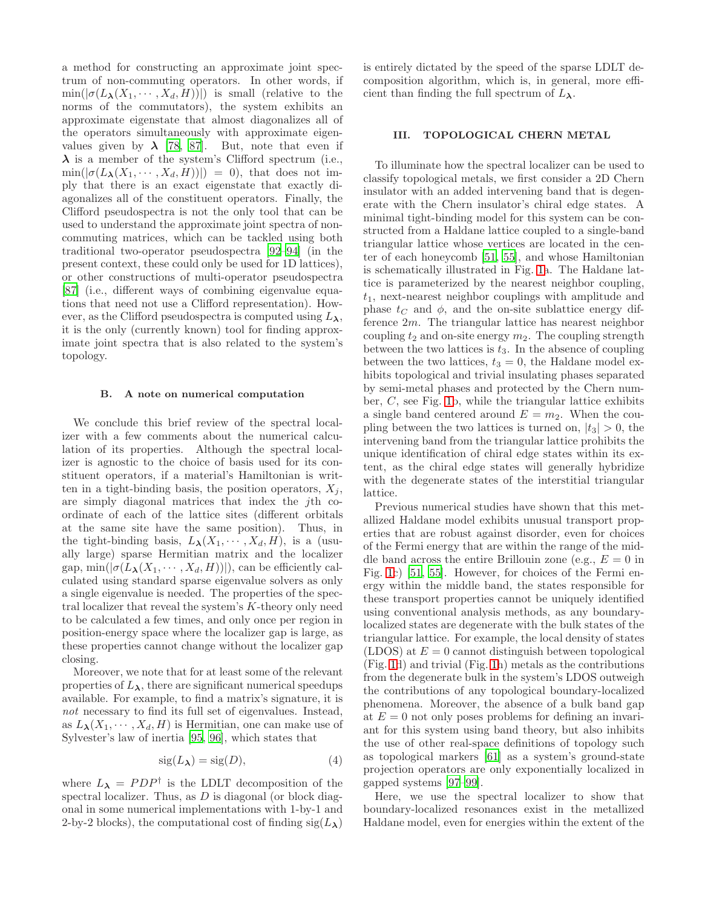a method for constructing an approximate joint spectrum of non-commuting operators. In other words, if  $\min(|\sigma(L_{\lambda}(X_1,\dots,X_d,H))|)$  is small (relative to the norms of the commutators), the system exhibits an approximate eigenstate that almost diagonalizes all of the operators simultaneously with approximate eigenvalues given by  $\lambda$  [\[78,](#page-9-7) [87](#page-9-14)]. But, note that even if  $\lambda$  is a member of the system's Clifford spectrum (i.e.,  $\min(|\sigma(L_{\lambda}(X_1,\cdots,X_d,H))|) = 0$ , that does not imply that there is an exact eigenstate that exactly diagonalizes all of the constituent operators. Finally, the Clifford pseudospectra is not the only tool that can be used to understand the approximate joint spectra of noncommuting matrices, which can be tackled using both traditional two-operator pseudospectra [\[92](#page-9-19)[–94](#page-9-20)] (in the present context, these could only be used for 1D lattices), or other constructions of multi-operator pseudospectra [\[87\]](#page-9-14) (i.e., different ways of combining eigenvalue equations that need not use a Clifford representation). However, as the Clifford pseudospectra is computed using  $L_{\lambda}$ , it is the only (currently known) tool for finding approximate joint spectra that is also related to the system's topology.

#### B. A note on numerical computation

We conclude this brief review of the spectral localizer with a few comments about the numerical calculation of its properties. Although the spectral localizer is agnostic to the choice of basis used for its constituent operators, if a material's Hamiltonian is written in a tight-binding basis, the position operators,  $X_i$ , are simply diagonal matrices that index the jth coordinate of each of the lattice sites (different orbitals at the same site have the same position). Thus, in the tight-binding basis,  $L_{\lambda}(X_1, \dots, X_d, H)$ , is a (usually large) sparse Hermitian matrix and the localizer gap,  $\min(|\sigma(L_{\lambda}(X_1,\dots,X_d,H))|)$ , can be efficiently calculated using standard sparse eigenvalue solvers as only a single eigenvalue is needed. The properties of the spectral localizer that reveal the system's K-theory only need to be calculated a few times, and only once per region in position-energy space where the localizer gap is large, as these properties cannot change without the localizer gap closing.

Moreover, we note that for at least some of the relevant properties of  $L_{\lambda}$ , there are significant numerical speedups available. For example, to find a matrix's signature, it is not necessary to find its full set of eigenvalues. Instead, as  $L_{\lambda}(X_1, \dots, X_d, H)$  is Hermitian, one can make use of Sylvester's law of inertia [\[95,](#page-9-21) [96\]](#page-9-22), which states that

$$
sig(L_{\lambda}) = sig(D), \tag{4}
$$

where  $L_{\lambda} = PDP^{\dagger}$  is the LDLT decomposition of the spectral localizer. Thus, as  $D$  is diagonal (or block diagonal in some numerical implementations with 1-by-1 and 2-by-2 blocks), the computational cost of finding  $sig(L_{\lambda})$  is entirely dictated by the speed of the sparse LDLT decomposition algorithm, which is, in general, more efficient than finding the full spectrum of  $L_{\lambda}$ .

### <span id="page-3-0"></span>III. TOPOLOGICAL CHERN METAL

To illuminate how the spectral localizer can be used to classify topological metals, we first consider a 2D Chern insulator with an added intervening band that is degenerate with the Chern insulator's chiral edge states. A minimal tight-binding model for this system can be constructed from a Haldane lattice coupled to a single-band triangular lattice whose vertices are located in the center of each honeycomb [\[51,](#page-8-3) [55](#page-8-6)], and whose Hamiltonian is schematically illustrated in Fig. [1a](#page-4-0). The Haldane lattice is parameterized by the nearest neighbor coupling,  $t_1$ , next-nearest neighbor couplings with amplitude and phase  $t_C$  and  $\phi$ , and the on-site sublattice energy difference 2m. The triangular lattice has nearest neighbor coupling  $t_2$  and on-site energy  $m_2$ . The coupling strength between the two lattices is  $t_3$ . In the absence of coupling between the two lattices,  $t_3 = 0$ , the Haldane model exhibits topological and trivial insulating phases separated by semi-metal phases and protected by the Chern number, C, see Fig. [1b](#page-4-0), while the triangular lattice exhibits a single band centered around  $E = m_2$ . When the coupling between the two lattices is turned on,  $|t_3| > 0$ , the intervening band from the triangular lattice prohibits the unique identification of chiral edge states within its extent, as the chiral edge states will generally hybridize with the degenerate states of the interstitial triangular lattice.

Previous numerical studies have shown that this metallized Haldane model exhibits unusual transport properties that are robust against disorder, even for choices of the Fermi energy that are within the range of the middle band across the entire Brillouin zone (e.g.,  $E = 0$  in Fig. [1c](#page-4-0)) [\[51,](#page-8-3) [55\]](#page-8-6). However, for choices of the Fermi energy within the middle band, the states responsible for these transport properties cannot be uniquely identified using conventional analysis methods, as any boundarylocalized states are degenerate with the bulk states of the triangular lattice. For example, the local density of states (LDOS) at  $E = 0$  cannot distinguish between topological (Fig. [1d](#page-4-0)) and trivial (Fig. [1h](#page-4-0)) metals as the contributions from the degenerate bulk in the system's LDOS outweigh the contributions of any topological boundary-localized phenomena. Moreover, the absence of a bulk band gap at  $E = 0$  not only poses problems for defining an invariant for this system using band theory, but also inhibits the use of other real-space definitions of topology such as topological markers [\[61\]](#page-8-7) as a system's ground-state projection operators are only exponentially localized in gapped systems [\[97](#page-9-23)[–99](#page-9-24)].

Here, we use the spectral localizer to show that boundary-localized resonances exist in the metallized Haldane model, even for energies within the extent of the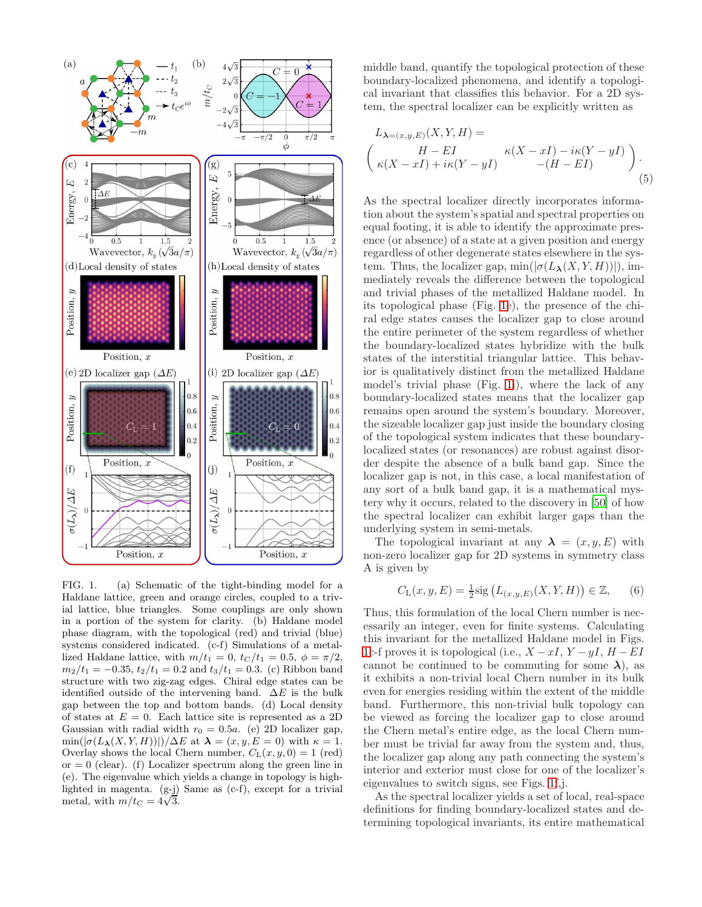

<span id="page-4-0"></span>FIG. 1. (a) Schematic of the tight-binding model for a Haldane lattice, green and orange circles, coupled to a trivial lattice, blue triangles. Some couplings are only shown in a portion of the system for clarity. (b) Haldane model phase diagram, with the topological (red) and trivial (blue) systems considered indicated. (c-f) Simulations of a metallized Haldane lattice, with  $m/t_1 = 0$ ,  $t_C/t_1 = 0.5$ ,  $\phi = \pi/2$ ,  $m_2/t_1 = -0.35$ ,  $t_2/t_1 = 0.2$  and  $t_3/t_1 = 0.3$ . (c) Ribbon band structure with two zig-zag edges. Chiral edge states can be identified outside of the intervening band.  $\Delta E$  is the bulk gap between the top and bottom bands. (d) Local density of states at  $E = 0$ . Each lattice site is represented as a 2D Gaussian with radial width  $r_0 = 0.5a$ . (e) 2D localizer gap,  $\min(|\sigma(L_{\lambda}(X, Y, H))|)/\Delta E$  at  $\lambda = (x, y, E = 0)$  with  $\kappa = 1$ . Overlay shows the local Chern number,  $C_{L}(x, y, 0) = 1$  (red)  $or = 0$  (clear). (f) Localizer spectrum along the green line in (e). The eigenvalue which yields a change in topology is highlighted in magenta.  $(g-j)$  Same as  $(c-f)$ , except for a trivial metal, with  $m/t_C = 4\sqrt{3}$ .

middle band, quantify the topological protection of these boundary-localized phenomena, and identify a topological invariant that classifies this behavior. For a 2D system, the spectral localizer can be explicitly written as

<span id="page-4-2"></span>
$$
L_{\lambda=(x,y,E)}(X,Y,H) =
$$
  
\n
$$
\begin{pmatrix} H-EI & \kappa(X-xI) - i\kappa(Y-yI) \\ \kappa(X-xI) + i\kappa(Y-yI) & -(H-EI) \end{pmatrix}.
$$
  
\n(5)

As the spectral localizer directly incorporates information about the system's spatial and spectral properties on equal footing, it is able to identify the approximate presence (or absence) of a state at a given position and energy regardless of other degenerate states elsewhere in the system. Thus, the localizer gap,  $\min(|\sigma(L_{\lambda}(X, Y, H))|)$ , immediately reveals the difference between the topological and trivial phases of the metallized Haldane model. In its topological phase (Fig. [1e](#page-4-0)), the presence of the chiral edge states causes the localizer gap to close around the entire perimeter of the system regardless of whether the boundary-localized states hybridize with the bulk states of the interstitial triangular lattice. This behavior is qualitatively distinct from the metallized Haldane model's trivial phase (Fig. [1i](#page-4-0)), where the lack of any boundary-localized states means that the localizer gap remains open around the system's boundary. Moreover, the sizeable localizer gap just inside the boundary closing of the topological system indicates that these boundarylocalized states (or resonances) are robust against disorder despite the absence of a bulk band gap. Since the localizer gap is not, in this case, a local manifestation of any sort of a bulk band gap, it is a mathematical mystery why it occurs, related to the discovery in [\[50](#page-8-2)] of how the spectral localizer can exhibit larger gaps than the underlying system in semi-metals.

The topological invariant at any  $\lambda = (x, y, E)$  with non-zero localizer gap for 2D systems in symmetry class A is given by

<span id="page-4-1"></span>
$$
C_{\mathcal{L}}(x, y, E) = \frac{1}{2} \text{sig} (L_{(x, y, E)}(X, Y, H)) \in \mathbb{Z}, \quad (6)
$$

Thus, this formulation of the local Chern number is necessarily an integer, even for finite systems. Calculating this invariant for the metallized Haldane model in Figs. [1c](#page-4-0)-f proves it is topological (i.e.,  $X - xI$ ,  $Y - yI$ ,  $H - EI$ cannot be continued to be commuting for some  $\lambda$ ), as it exhibits a non-trivial local Chern number in its bulk even for energies residing within the extent of the middle band. Furthermore, this non-trivial bulk topology can be viewed as forcing the localizer gap to close around the Chern metal's entire edge, as the local Chern number must be trivial far away from the system and, thus, the localizer gap along any path connecting the system's interior and exterior must close for one of the localizer's eigenvalues to switch signs, see Figs. [1f](#page-4-0),j.

As the spectral localizer yields a set of local, real-space definitions for finding boundary-localized states and determining topological invariants, its entire mathematical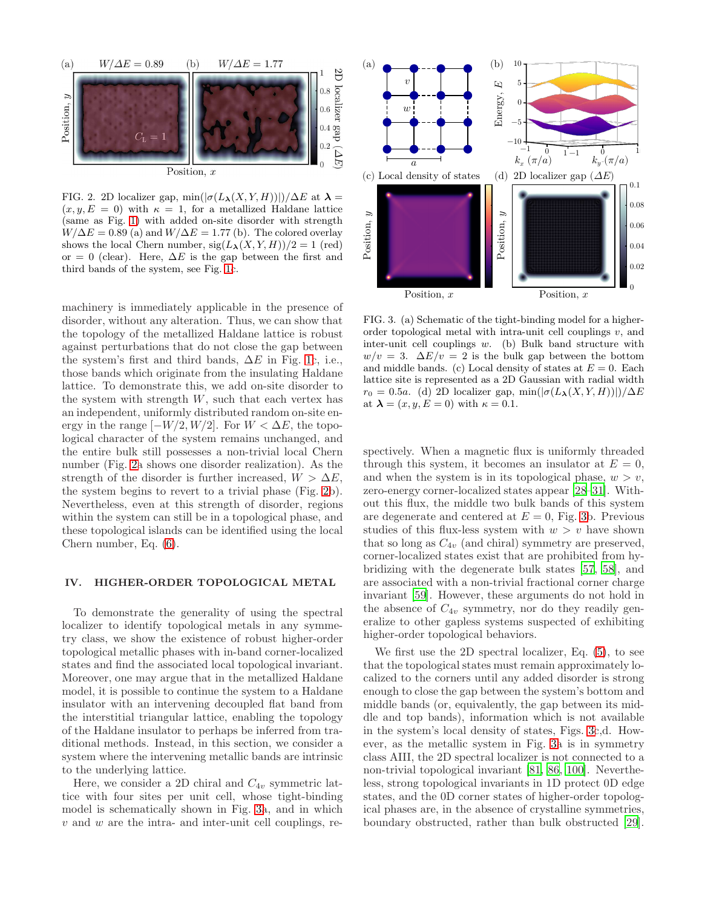

<span id="page-5-1"></span>FIG. 2. 2D localizer gap, min $(|\sigma(L_{\lambda}(X, Y, H))|)/\Delta E$  at  $\lambda =$  $(x, y, E = 0)$  with  $\kappa = 1$ , for a metallized Haldane lattice (same as Fig. [1\)](#page-4-0) with added on-site disorder with strength  $W/\Delta E = 0.89$  (a) and  $W/\Delta E = 1.77$  (b). The colored overlay shows the local Chern number,  $sig(L_{\lambda}(X, Y, H))/2 = 1$  (red) or = 0 (clear). Here,  $\Delta E$  is the gap between the first and third bands of the system, see Fig. [1c](#page-4-0).

machinery is immediately applicable in the presence of disorder, without any alteration. Thus, we can show that the topology of the metallized Haldane lattice is robust against perturbations that do not close the gap between the system's first and third bands,  $\Delta E$  in Fig. [1c](#page-4-0), i.e., those bands which originate from the insulating Haldane lattice. To demonstrate this, we add on-site disorder to the system with strength  $W$ , such that each vertex has an independent, uniformly distributed random on-site energy in the range  $[-W/2, W/2]$ . For  $W < \Delta E$ , the topological character of the system remains unchanged, and the entire bulk still possesses a non-trivial local Chern number (Fig. [2a](#page-5-1) shows one disorder realization). As the strength of the disorder is further increased,  $W > \Delta E$ , the system begins to revert to a trivial phase (Fig. [2b](#page-5-1)). Nevertheless, even at this strength of disorder, regions within the system can still be in a topological phase, and these topological islands can be identified using the local Chern number, Eq. [\(6\)](#page-4-1).

### <span id="page-5-0"></span>IV. HIGHER-ORDER TOPOLOGICAL METAL

To demonstrate the generality of using the spectral localizer to identify topological metals in any symmetry class, we show the existence of robust higher-order topological metallic phases with in-band corner-localized states and find the associated local topological invariant. Moreover, one may argue that in the metallized Haldane model, it is possible to continue the system to a Haldane insulator with an intervening decoupled flat band from the interstitial triangular lattice, enabling the topology of the Haldane insulator to perhaps be inferred from traditional methods. Instead, in this section, we consider a system where the intervening metallic bands are intrinsic to the underlying lattice.

Here, we consider a 2D chiral and  $C_{4v}$  symmetric lattice with four sites per unit cell, whose tight-binding model is schematically shown in Fig. [3a](#page-5-2), and in which  $v$  and  $w$  are the intra- and inter-unit cell couplings, re-



<span id="page-5-2"></span>FIG. 3. (a) Schematic of the tight-binding model for a higherorder topological metal with intra-unit cell couplings  $v$ , and inter-unit cell couplings  $w$ . (b) Bulk band structure with  $w/v = 3$ .  $\Delta E/v = 2$  is the bulk gap between the bottom and middle bands. (c) Local density of states at  $E = 0$ . Each lattice site is represented as a 2D Gaussian with radial width  $r_0 = 0.5a$ . (d) 2D localizer gap, min( $\left|\sigma(L_\lambda(X, Y, H))\right|\right)/\Delta E$ at  $\lambda = (x, y, E = 0)$  with  $\kappa = 0.1$ .

spectively. When a magnetic flux is uniformly threaded through this system, it becomes an insulator at  $E = 0$ , and when the system is in its topological phase,  $w > v$ , zero-energy corner-localized states appear [\[28](#page-8-8)[–31\]](#page-8-9). Without this flux, the middle two bulk bands of this system are degenerate and centered at  $E = 0$ , Fig. [3b](#page-5-2). Previous studies of this flux-less system with  $w > v$  have shown that so long as  $C_{4v}$  (and chiral) symmetry are preserved, corner-localized states exist that are prohibited from hybridizing with the degenerate bulk states [\[57,](#page-8-10) [58\]](#page-8-11), and are associated with a non-trivial fractional corner charge invariant [\[59\]](#page-8-4). However, these arguments do not hold in the absence of  $C_{4v}$  symmetry, nor do they readily generalize to other gapless systems suspected of exhibiting higher-order topological behaviors.

We first use the 2D spectral localizer, Eq. [\(5\)](#page-4-2), to see that the topological states must remain approximately localized to the corners until any added disorder is strong enough to close the gap between the system's bottom and middle bands (or, equivalently, the gap between its middle and top bands), information which is not available in the system's local density of states, Figs. [3c](#page-5-2),d. However, as the metallic system in Fig. [3a](#page-5-2) is in symmetry class AIII, the 2D spectral localizer is not connected to a non-trivial topological invariant [\[81,](#page-9-9) [86](#page-9-13), [100](#page-9-25)]. Nevertheless, strong topological invariants in 1D protect 0D edge states, and the 0D corner states of higher-order topological phases are, in the absence of crystalline symmetries, boundary obstructed, rather than bulk obstructed [\[29\]](#page-8-12).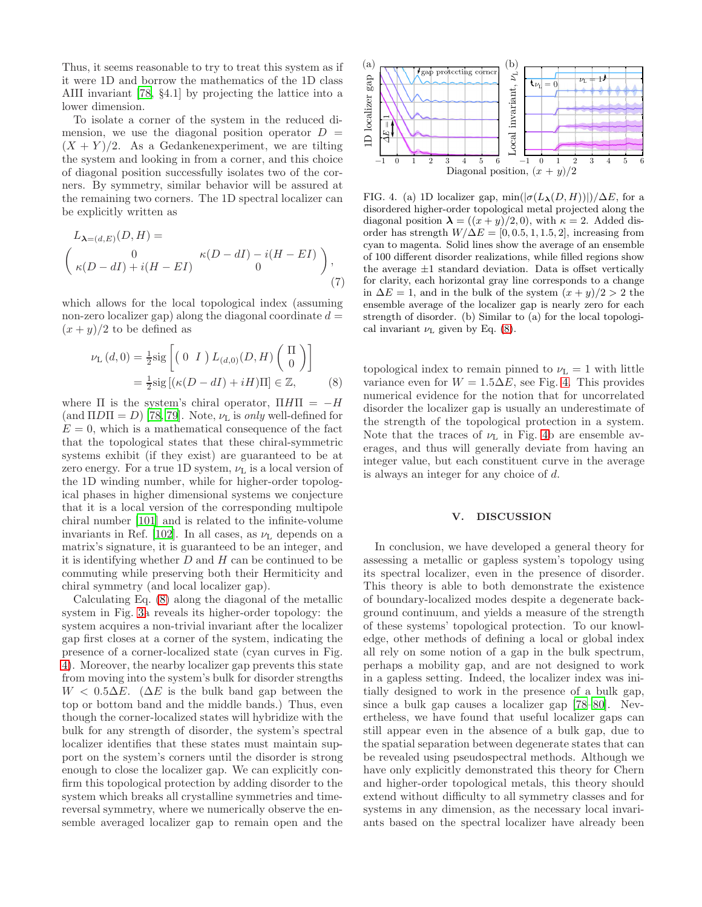Thus, it seems reasonable to try to treat this system as if it were 1D and borrow the mathematics of the 1D class AIII invariant [\[78,](#page-9-7) §4.1] by projecting the lattice into a lower dimension.

To isolate a corner of the system in the reduced dimension, we use the diagonal position operator  $D =$  $(X + Y)/2$ . As a Gedankenexperiment, we are tilting the system and looking in from a corner, and this choice of diagonal position successfully isolates two of the corners. By symmetry, similar behavior will be assured at the remaining two corners. The 1D spectral localizer can be explicitly written as

$$
L_{\lambda=(d,E)}(D,H) =
$$
  
\n
$$
\begin{pmatrix}\n0 & \kappa(D-dI) - i(H-EI) \\
\kappa(D-dI) + i(H-EI) & 0\n\end{pmatrix},
$$
\n(7)

which allows for the local topological index (assuming non-zero localizer gap) along the diagonal coordinate  $d =$  $(x + y)/2$  to be defined as

$$
\nu_{\mathcal{L}}(d,0) = \frac{1}{2}\text{sig}\left[\begin{pmatrix} 0 & I \end{pmatrix} L_{(d,0)}(D,H) \begin{pmatrix} \Pi \\ 0 \end{pmatrix}\right]
$$

$$
= \frac{1}{2}\text{sig}\left[\left(\kappa(D - dI) + iH\right)\Pi\right] \in \mathbb{Z},\tag{8}
$$

where  $\Pi$  is the system's chiral operator,  $\Pi H \Pi = -H$ (and  $\Pi$ D $\Pi$  = D) [\[78](#page-9-7), [79](#page-9-26)]. Note,  $\nu$ <sub>L</sub> is *only* well-defined for  $E = 0$ , which is a mathematical consequence of the fact that the topological states that these chiral-symmetric systems exhibit (if they exist) are guaranteed to be at zero energy. For a true 1D system,  $\nu_L$  is a local version of the 1D winding number, while for higher-order topological phases in higher dimensional systems we conjecture that it is a local version of the corresponding multipole chiral number [\[101\]](#page-9-27) and is related to the infinite-volume invariants in Ref. [\[102\]](#page-9-28). In all cases, as  $\nu_{\rm L}$  depends on a matrix's signature, it is guaranteed to be an integer, and it is identifying whether  $D$  and  $H$  can be continued to be commuting while preserving both their Hermiticity and chiral symmetry (and local localizer gap).

Calculating Eq. [\(8\)](#page-6-1) along the diagonal of the metallic system in Fig. [3a](#page-5-2) reveals its higher-order topology: the system acquires a non-trivial invariant after the localizer gap first closes at a corner of the system, indicating the presence of a corner-localized state (cyan curves in Fig. [4\)](#page-6-2). Moreover, the nearby localizer gap prevents this state from moving into the system's bulk for disorder strengths  $W < 0.5\Delta E$ . ( $\Delta E$  is the bulk band gap between the top or bottom band and the middle bands.) Thus, even though the corner-localized states will hybridize with the bulk for any strength of disorder, the system's spectral localizer identifies that these states must maintain support on the system's corners until the disorder is strong enough to close the localizer gap. We can explicitly confirm this topological protection by adding disorder to the system which breaks all crystalline symmetries and timereversal symmetry, where we numerically observe the ensemble averaged localizer gap to remain open and the



<span id="page-6-2"></span>FIG. 4. (a) 1D localizer gap,  $\min(|\sigma(L_{\lambda}(D, H))|)/\Delta E$ , for a disordered higher-order topological metal projected along the diagonal position  $\lambda = ((x+y)/2, 0)$ , with  $\kappa = 2$ . Added disorder has strength  $W/\Delta E = [0, 0.5, 1, 1.5, 2]$ , increasing from cyan to magenta. Solid lines show the average of an ensemble of 100 different disorder realizations, while filled regions show the average  $\pm 1$  standard deviation. Data is offset vertically for clarity, each horizontal gray line corresponds to a change in  $\Delta E = 1$ , and in the bulk of the system  $(x + y)/2 > 2$  the ensemble average of the localizer gap is nearly zero for each strength of disorder. (b) Similar to (a) for the local topological invariant  $\nu_{\rm L}$  given by Eq. [\(8\)](#page-6-1).

<span id="page-6-1"></span>topological index to remain pinned to  $\nu_{\text{L}} = 1$  with little variance even for  $W = 1.5\Delta E$ , see Fig. [4.](#page-6-2) This provides numerical evidence for the notion that for uncorrelated disorder the localizer gap is usually an underestimate of the strength of the topological protection in a system. Note that the traces of  $\nu$ <sub>L</sub> in Fig. [4b](#page-6-2) are ensemble averages, and thus will generally deviate from having an integer value, but each constituent curve in the average is always an integer for any choice of d.

### <span id="page-6-0"></span>V. DISCUSSION

In conclusion, we have developed a general theory for assessing a metallic or gapless system's topology using its spectral localizer, even in the presence of disorder. This theory is able to both demonstrate the existence of boundary-localized modes despite a degenerate background continuum, and yields a measure of the strength of these systems' topological protection. To our knowledge, other methods of defining a local or global index all rely on some notion of a gap in the bulk spectrum, perhaps a mobility gap, and are not designed to work in a gapless setting. Indeed, the localizer index was initially designed to work in the presence of a bulk gap, since a bulk gap causes a localizer gap [\[78](#page-9-7)[–80](#page-9-8)]. Nevertheless, we have found that useful localizer gaps can still appear even in the absence of a bulk gap, due to the spatial separation between degenerate states that can be revealed using pseudospectral methods. Although we have only explicitly demonstrated this theory for Chern and higher-order topological metals, this theory should extend without difficulty to all symmetry classes and for systems in any dimension, as the necessary local invariants based on the spectral localizer have already been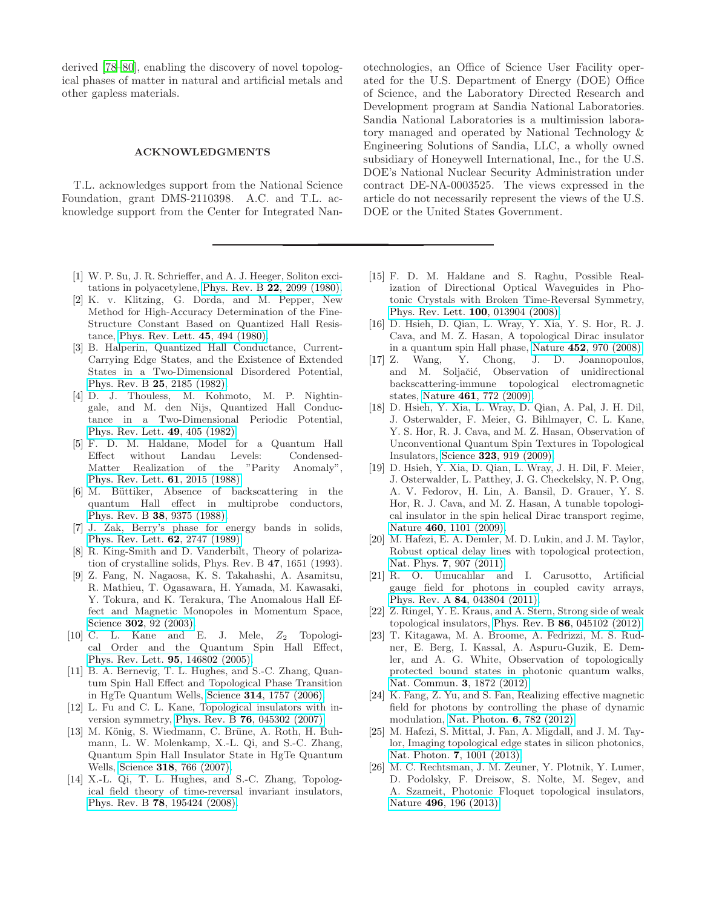derived [\[78](#page-9-7)[–80\]](#page-9-8), enabling the discovery of novel topological phases of matter in natural and artificial metals and other gapless materials.

## ACKNOWLEDGMENTS

T.L. acknowledges support from the National Science Foundation, grant DMS-2110398. A.C. and T.L. acknowledge support from the Center for Integrated Nan-

- <span id="page-7-0"></span>[1] W. P. Su, J. R. Schrieffer, and A. J. Heeger, Soliton excitations in polyacetylene, Phys. Rev. B 22[, 2099 \(1980\).](https://doi.org/10.1103/PhysRevB.22.2099)
- [2] K. v. Klitzing, G. Dorda, and M. Pepper, New Method for High-Accuracy Determination of the Fine-Structure Constant Based on Quantized Hall Resistance, [Phys. Rev. Lett.](https://doi.org/10.1103/PhysRevLett.45.494) 45, 494 (1980).
- [3] B. Halperin, Quantized Hall Conductance, Current-Carrying Edge States, and the Existence of Extended States in a Two-Dimensional Disordered Potential, Phys. Rev. B 25[, 2185 \(1982\).](https://doi.org/10.1103/PhysRevB.25.2185)
- [4] D. J. Thouless, M. Kohmoto, M. P. Nightingale, and M. den Nijs, Quantized Hall Conductance in a Two-Dimensional Periodic Potential, [Phys. Rev. Lett.](https://doi.org/10.1103/PhysRevLett.49.405) 49, 405 (1982).
- [5] F. D. M. Haldane, Model for a Quantum Hall Effect without Landau Levels: Condensed-Matter Realization of the "Parity Anomaly", [Phys. Rev. Lett.](https://doi.org/10.1103/PhysRevLett.61.2015) 61, 2015 (1988).
- [6] M. Büttiker, Absence of backscattering in the quantum Hall effect in multiprobe conductors, Phys. Rev. B 38[, 9375 \(1988\).](https://doi.org/10.1103/PhysRevB.38.9375)
- [7] J. Zak, Berry's phase for energy bands in solids, [Phys. Rev. Lett.](https://doi.org/10.1103/PhysRevLett.62.2747) 62, 2747 (1989).
- [8] R. King-Smith and D. Vanderbilt, Theory of polarization of crystalline solids, Phys. Rev. B 47, 1651 (1993).
- [9] Z. Fang, N. Nagaosa, K. S. Takahashi, A. Asamitsu, R. Mathieu, T. Ogasawara, H. Yamada, M. Kawasaki, Y. Tokura, and K. Terakura, The Anomalous Hall Effect and Magnetic Monopoles in Momentum Space, Science **302**[, 92 \(2003\).](https://doi.org/10.1126/science.1089408)
- $[10]$  C. L. Kane and E. J. Mele,  $Z_2$  Topological Order and the Quantum Spin Hall Effect, [Phys. Rev. Lett.](https://doi.org/10.1103/PhysRevLett.95.146802) 95, 146802 (2005).
- [11] B. A. Bernevig, T. L. Hughes, and S.-C. Zhang, Quantum Spin Hall Effect and Topological Phase Transition in HgTe Quantum Wells, Science 314[, 1757 \(2006\).](https://doi.org/10.1126/science.1133734)
- [12] L. Fu and C. L. Kane, Topological insulators with inversion symmetry, Phys. Rev. B 76[, 045302 \(2007\).](https://doi.org/10.1103/PhysRevB.76.045302)
- [13] M. König, S. Wiedmann, C. Brüne, A. Roth, H. Buhmann, L. W. Molenkamp, X.-L. Qi, and S.-C. Zhang, Quantum Spin Hall Insulator State in HgTe Quantum Wells, Science 318[, 766 \(2007\).](https://doi.org/10.1126/science.1148047)
- [14] X.-L. Qi, T. L. Hughes, and S.-C. Zhang, Topological field theory of time-reversal invariant insulators, Phys. Rev. B 78[, 195424 \(2008\).](https://doi.org/10.1103/PhysRevB.78.195424)

otechnologies, an Office of Science User Facility operated for the U.S. Department of Energy (DOE) Office of Science, and the Laboratory Directed Research and Development program at Sandia National Laboratories. Sandia National Laboratories is a multimission laboratory managed and operated by National Technology & Engineering Solutions of Sandia, LLC, a wholly owned subsidiary of Honeywell International, Inc., for the U.S. DOE's National Nuclear Security Administration under contract DE-NA-0003525. The views expressed in the article do not necessarily represent the views of the U.S. DOE or the United States Government.

- [15] F. D. M. Haldane and S. Raghu, Possible Realization of Directional Optical Waveguides in Photonic Crystals with Broken Time-Reversal Symmetry, [Phys. Rev. Lett.](https://doi.org/10.1103/PhysRevLett.100.013904) 100, 013904 (2008).
- [16] D. Hsieh, D. Qian, L. Wray, Y. Xia, Y. S. Hor, R. J. Cava, and M. Z. Hasan, A topological Dirac insulator in a quantum spin Hall phase, Nature 452[, 970 \(2008\).](https://doi.org/10.1038/nature06843)
- [17] Z. Wang, Y. Chong, J. D. Joannopoulos, and M. Soljačić, Observation of unidirectional backscattering-immune topological electromagnetic states, Nature 461[, 772 \(2009\).](https://doi.org/10.1038/nature08293)
- [18] D. Hsieh, Y. Xia, L. Wray, D. Qian, A. Pal, J. H. Dil, J. Osterwalder, F. Meier, G. Bihlmayer, C. L. Kane, Y. S. Hor, R. J. Cava, and M. Z. Hasan, Observation of Unconventional Quantum Spin Textures in Topological Insulators, Science 323[, 919 \(2009\).](https://doi.org/10.1126/science.1167733)
- [19] D. Hsieh, Y. Xia, D. Qian, L. Wray, J. H. Dil, F. Meier, J. Osterwalder, L. Patthey, J. G. Checkelsky, N. P. Ong, A. V. Fedorov, H. Lin, A. Bansil, D. Grauer, Y. S. Hor, R. J. Cava, and M. Z. Hasan, A tunable topological insulator in the spin helical Dirac transport regime, Nature 460[, 1101 \(2009\).](https://doi.org/10.1038/nature08234)
- [20] M. Hafezi, E. A. Demler, M. D. Lukin, and J. M. Taylor, Robust optical delay lines with topological protection, Nat. Phys. 7[, 907 \(2011\).](https://doi.org/10.1038/NPHYS2063)
- [21] R. O. Umucalılar and I. Carusotto, Artificial gauge field for photons in coupled cavity arrays, Phys. Rev. A 84[, 043804 \(2011\).](https://doi.org/10.1103/PhysRevA.84.043804)
- [22] Z. Ringel, Y. E. Kraus, and A. Stern, Strong side of weak topological insulators, Phys. Rev. B 86[, 045102 \(2012\).](https://doi.org/10.1103/PhysRevB.86.045102)
- [23] T. Kitagawa, M. A. Broome, A. Fedrizzi, M. S. Rudner, E. Berg, I. Kassal, A. Aspuru-Guzik, E. Demler, and A. G. White, Observation of topologically protected bound states in photonic quantum walks, [Nat. Commun.](https://doi.org/10.1038/ncomms1872) 3, 1872 (2012).
- [24] K. Fang, Z. Yu, and S. Fan, Realizing effective magnetic field for photons by controlling the phase of dynamic modulation, [Nat. Photon.](https://doi.org/10.1038/NPHOTON.2012.236) 6, 782 (2012).
- [25] M. Hafezi, S. Mittal, J. Fan, A. Migdall, and J. M. Taylor, Imaging topological edge states in silicon photonics, Nat. Photon. 7[, 1001 \(2013\).](https://doi.org/10.1038/nphoton.2013.274)
- [26] M. C. Rechtsman, J. M. Zeuner, Y. Plotnik, Y. Lumer, D. Podolsky, F. Dreisow, S. Nolte, M. Segev, and A. Szameit, Photonic Floquet topological insulators, Nature 496[, 196 \(2013\).](https://doi.org/10.1038/nature12066)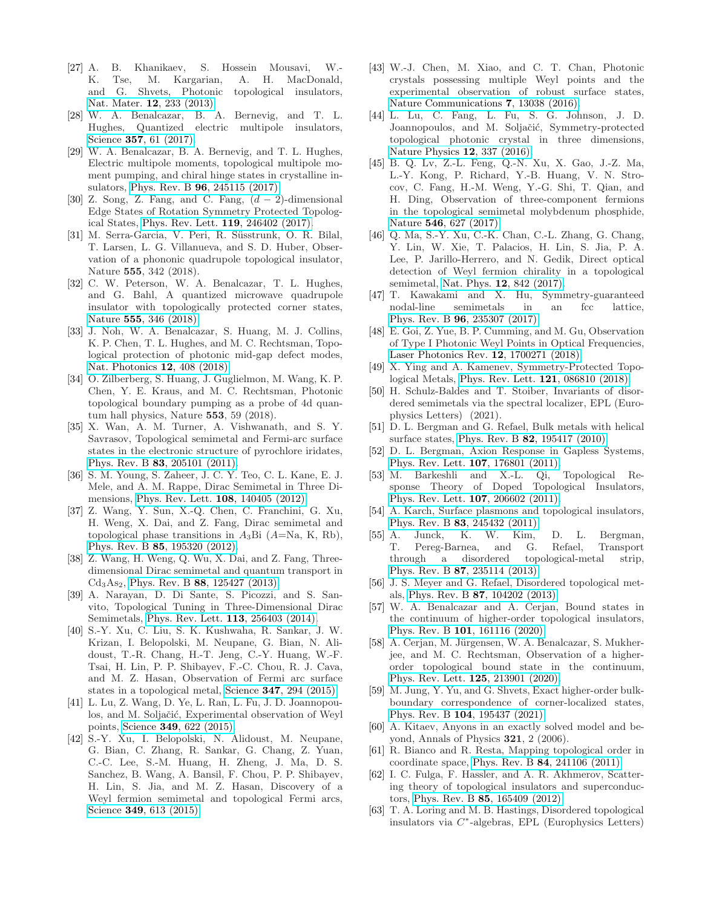- [27] A. B. Khanikaev, S. Hossein Mousavi, W.- K. Tse, M. Kargarian, A. H. MacDonald, and G. Shvets, Photonic topological insulators, Nat. Mater. 12[, 233 \(2013\).](https://doi.org/10.1038/nmat3520)
- <span id="page-8-8"></span>[28] W. A. Benalcazar, B. A. Bernevig, and T. L. Hughes, Quantized electric multipole insulators, Science **357**[, 61 \(2017\).](https://doi.org/10.1126/science.aah6442)
- <span id="page-8-12"></span>[29] W. A. Benalcazar, B. A. Bernevig, and T. L. Hughes, Electric multipole moments, topological multipole moment pumping, and chiral hinge states in crystalline insulators, Phys. Rev. B 96[, 245115 \(2017\).](https://doi.org/10.1103/PhysRevB.96.245115)
- [30] Z. Song, Z. Fang, and C. Fang,  $(d-2)$ -dimensional Edge States of Rotation Symmetry Protected Topological States, [Phys. Rev. Lett.](https://doi.org/10.1103/PhysRevLett.119.246402) 119, 246402 (2017).
- <span id="page-8-9"></span>[31] M. Serra-Garcia, V. Peri, R. Süsstrunk, O. R. Bilal, T. Larsen, L. G. Villanueva, and S. D. Huber, Observation of a phononic quadrupole topological insulator, Nature 555, 342 (2018).
- [32] C. W. Peterson, W. A. Benalcazar, T. L. Hughes, and G. Bahl, A quantized microwave quadrupole insulator with topologically protected corner states, Nature 555[, 346 \(2018\).](http://dx.doi.org/10.1038/nature25777)
- [33] J. Noh, W. A. Benalcazar, S. Huang, M. J. Collins, K. P. Chen, T. L. Hughes, and M. C. Rechtsman, Topological protection of photonic mid-gap defect modes, [Nat. Photonics](https://doi.org/10.1038/s41566-018-0179-3) 12, 408 (2018).
- <span id="page-8-0"></span>[34] O. Zilberberg, S. Huang, J. Guglielmon, M. Wang, K. P. Chen, Y. E. Kraus, and M. C. Rechtsman, Photonic topological boundary pumping as a probe of 4d quantum hall physics, Nature 553, 59 (2018).
- <span id="page-8-1"></span>[35] X. Wan, A. M. Turner, A. Vishwanath, and S. Y. Savrasov, Topological semimetal and Fermi-arc surface states in the electronic structure of pyrochlore iridates, Phys. Rev. B 83[, 205101 \(2011\).](https://doi.org/10.1103/PhysRevB.83.205101)
- [36] S. M. Young, S. Zaheer, J. C. Y. Teo, C. L. Kane, E. J. Mele, and A. M. Rappe, Dirac Semimetal in Three Dimensions, [Phys. Rev. Lett.](https://doi.org/10.1103/PhysRevLett.108.140405) 108, 140405 (2012).
- [37] Z. Wang, Y. Sun, X.-Q. Chen, C. Franchini, G. Xu, H. Weng, X. Dai, and Z. Fang, Dirac semimetal and topological phase transitions in  $A_3B$ i ( $A=Na$ , K, Rb), Phys. Rev. B 85[, 195320 \(2012\).](https://doi.org/10.1103/PhysRevB.85.195320)
- [38] Z. Wang, H. Weng, Q. Wu, X. Dai, and Z. Fang, Threedimensional Dirac semimetal and quantum transport in  $Cd<sub>3</sub>As<sub>2</sub>$ , Phys. Rev. B 88[, 125427 \(2013\).](https://doi.org/10.1103/PhysRevB.88.125427)
- [39] A. Narayan, D. Di Sante, S. Picozzi, and S. Sanvito, Topological Tuning in Three-Dimensional Dirac Semimetals, [Phys. Rev. Lett.](https://doi.org/10.1103/PhysRevLett.113.256403) 113, 256403 (2014).
- [40] S.-Y. Xu, C. Liu, S. K. Kushwaha, R. Sankar, J. W. Krizan, I. Belopolski, M. Neupane, G. Bian, N. Alidoust, T.-R. Chang, H.-T. Jeng, C.-Y. Huang, W.-F. Tsai, H. Lin, P. P. Shibayev, F.-C. Chou, R. J. Cava, and M. Z. Hasan, Observation of Fermi arc surface states in a topological metal, Science 347[, 294 \(2015\).](https://doi.org/10.1126/science.1256742)
- [41] L. Lu, Z. Wang, D. Ye, L. Ran, L. Fu, J. D. Joannopoulos, and M. Soljačić, Experimental observation of Weyl points, Science 349[, 622 \(2015\).](https://doi.org/10.1126/science.aaa9273)
- [42] S.-Y. Xu, I. Belopolski, N. Alidoust, M. Neupane, G. Bian, C. Zhang, R. Sankar, G. Chang, Z. Yuan, C.-C. Lee, S.-M. Huang, H. Zheng, J. Ma, D. S. Sanchez, B. Wang, A. Bansil, F. Chou, P. P. Shibayev, H. Lin, S. Jia, and M. Z. Hasan, Discovery of a Weyl fermion semimetal and topological Fermi arcs, Science **349**[, 613 \(2015\).](https://doi.org/10.1126/science.aaa9297)
- [43] W.-J. Chen, M. Xiao, and C. T. Chan, Photonic crystals possessing multiple Weyl points and the experimental observation of robust surface states, [Nature Communications](https://doi.org/10.1038/ncomms13038) 7, 13038 (2016).
- [44] L. Lu, C. Fang, L. Fu, S. G. Johnson, J. D. Joannopoulos, and M. Soljačić, Symmetry-protected topological photonic crystal in three dimensions, [Nature Physics](https://doi.org/10.1038/nphys3611) 12, 337 (2016).
- [45] B. Q. Lv, Z.-L. Feng, Q.-N. Xu, X. Gao, J.-Z. Ma, L.-Y. Kong, P. Richard, Y.-B. Huang, V. N. Strocov, C. Fang, H.-M. Weng, Y.-G. Shi, T. Qian, and H. Ding, Observation of three-component fermions in the topological semimetal molybdenum phosphide, Nature 546[, 627 \(2017\).](https://doi.org/10.1038/nature22390)
- [46] Q. Ma, S.-Y. Xu, C.-K. Chan, C.-L. Zhang, G. Chang, Y. Lin, W. Xie, T. Palacios, H. Lin, S. Jia, P. A. Lee, P. Jarillo-Herrero, and N. Gedik, Direct optical detection of Weyl fermion chirality in a topological semimetal, Nat. Phys. 12[, 842 \(2017\).](https://www.nature.com/nphys/journal/vaop/ncurrent/full/nphys4146.html)
- [47] T. Kawakami and X. Hu, Symmetry-guaranteed nodal-line semimetals in an fcc lattice, Phys. Rev. B 96[, 235307 \(2017\).](https://doi.org/10.1103/PhysRevB.96.235307)
- [48] E. Goi, Z. Yue, B. P. Cumming, and M. Gu, Observation of Type I Photonic Weyl Points in Optical Frequencies, [Laser Photonics Rev.](https://doi.org/10.1002/lpor.201700271) 12, 1700271 (2018).
- [49] X. Ying and A. Kamenev, Symmetry-Protected Topological Metals, [Phys. Rev. Lett.](https://doi.org/10.1103/PhysRevLett.121.086810) 121, 086810 (2018).
- <span id="page-8-2"></span>[50] H. Schulz-Baldes and T. Stoiber, Invariants of disordered semimetals via the spectral localizer, EPL (Europhysics Letters) (2021).
- <span id="page-8-3"></span>[51] D. L. Bergman and G. Refael, Bulk metals with helical surface states, Phys. Rev. B 82[, 195417 \(2010\).](https://doi.org/10.1103/PhysRevB.82.195417)
- [52] D. L. Bergman, Axion Response in Gapless Systems, [Phys. Rev. Lett.](https://doi.org/10.1103/PhysRevLett.107.176801) 107, 176801 (2011).
- [53] M. Barkeshli and X.-L. Qi, Topological Response Theory of Doped Topological Insulators, [Phys. Rev. Lett.](https://doi.org/10.1103/PhysRevLett.107.206602) 107, 206602 (2011).
- [54] A. Karch, Surface plasmons and topological insulators, Phys. Rev. B 83[, 245432 \(2011\).](https://doi.org/10.1103/PhysRevB.83.245432)
- <span id="page-8-6"></span>[55] A. Junck, K. W. Kim, D. L. Bergman, T. Pereg-Barnea, and G. Refael, Transport through a disordered topological-metal strip, Phys. Rev. B 87[, 235114 \(2013\).](https://doi.org/10.1103/PhysRevB.87.235114)
- [56] J. S. Meyer and G. Refael, Disordered topological metals, Phys. Rev. B 87[, 104202 \(2013\).](https://doi.org/10.1103/PhysRevB.87.104202)
- <span id="page-8-10"></span>[57] W. A. Benalcazar and A. Cerjan, Bound states in the continuum of higher-order topological insulators, Phys. Rev. B 101[, 161116 \(2020\).](https://doi.org/10.1103/PhysRevB.101.161116)
- <span id="page-8-11"></span>[58] A. Cerjan, M. Jürgensen, W. A. Benalcazar, S. Mukherjee, and M. C. Rechtsman, Observation of a higherorder topological bound state in the continuum, [Phys. Rev. Lett.](https://doi.org/10.1103/PhysRevLett.125.213901) 125, 213901 (2020).
- <span id="page-8-4"></span>[59] M. Jung, Y. Yu, and G. Shvets, Exact higher-order bulkboundary correspondence of corner-localized states, Phys. Rev. B 104[, 195437 \(2021\).](https://doi.org/10.1103/PhysRevB.104.195437)
- <span id="page-8-5"></span>[60] A. Kitaev, Anyons in an exactly solved model and beyond, Annals of Physics 321, 2 (2006).
- <span id="page-8-7"></span>[61] R. Bianco and R. Resta, Mapping topological order in coordinate space, Phys. Rev. B 84[, 241106 \(2011\).](https://doi.org/10.1103/PhysRevB.84.241106)
- [62] I. C. Fulga, F. Hassler, and A. R. Akhmerov, Scattering theory of topological insulators and superconductors, Phys. Rev. B 85[, 165409 \(2012\).](https://doi.org/10.1103/PhysRevB.85.165409)
- [63] T. A. Loring and M. B. Hastings, Disordered topological insulators via C ∗ -algebras, EPL (Europhysics Letters)